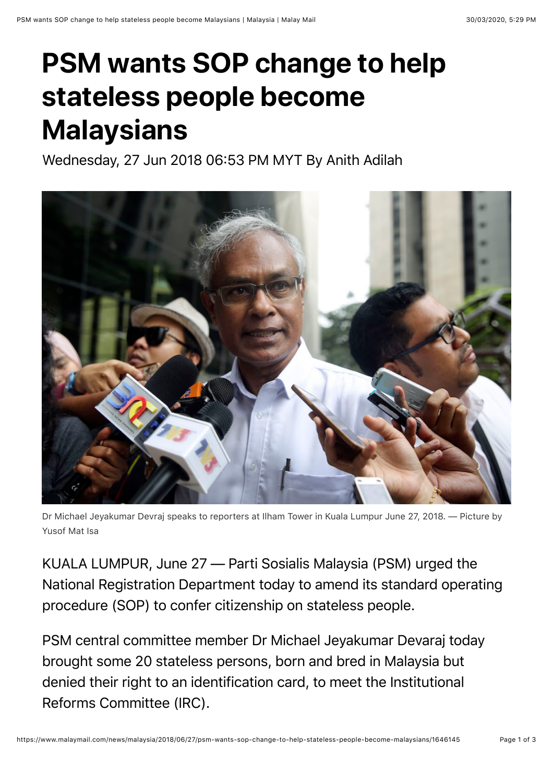## **PSM wants SOP change to help stateless people become Malaysians**

Wednesday, 27 Jun 2018 06:53 PM MYT By Anith Adilah



Dr Michael Jeyakumar Devraj speaks to reporters at Ilham Tower in Kuala Lumpur June 27, 2018. — Picture by Yusof Mat Isa

KUALA LUMPUR, June 27 — Parti Sosialis Malaysia (PSM) urged the National Registration Department today to amend its standard operating procedure (SOP) to confer citizenship on stateless people.

PSM central committee member Dr Michael Jeyakumar Devaraj today brought some 20 stateless persons, born and bred in Malaysia but denied their right to an identification card, to meet the Institutional Reforms Committee (IRC).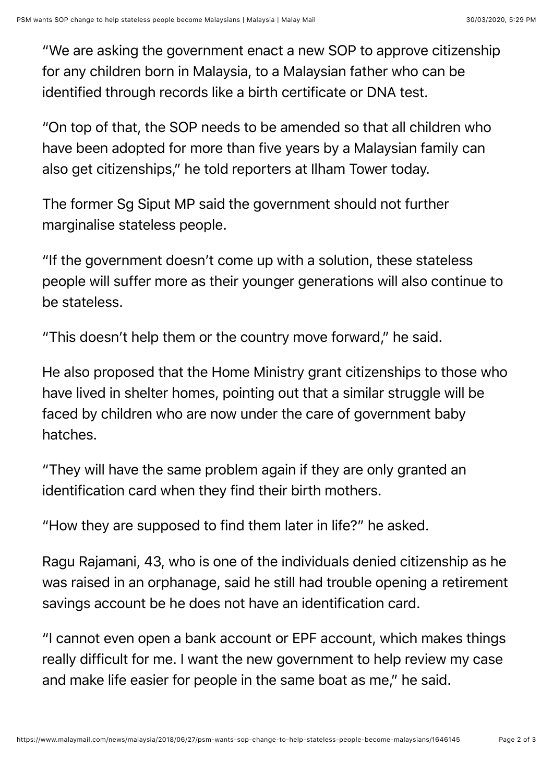"We are asking the government enact a new SOP to approve citizenship for any children born in Malaysia, to a Malaysian father who can be identified through records like a birth certificate or DNA test.

"On top of that, the SOP needs to be amended so that all children who have been adopted for more than five years by a Malaysian family can also get citizenships," he told reporters at Ilham Tower today.

The former Sg Siput MP said the government should not further marginalise stateless people.

"If the government doesn't come up with a solution, these stateless people will suffer more as their younger generations will also continue to be stateless.

"This doesn't help them or the country move forward," he said.

He also proposed that the Home Ministry grant citizenships to those who have lived in shelter homes, pointing out that a similar struggle will be faced by children who are now under the care of government baby hatches.

"They will have the same problem again if they are only granted an identification card when they find their birth mothers.

"How they are supposed to find them later in life?" he asked.

Ragu Rajamani, 43, who is one of the individuals denied citizenship as he was raised in an orphanage, said he still had trouble opening a retirement savings account be he does not have an identification card.

"I cannot even open a bank account or EPF account, which makes things really difficult for me. I want the new government to help review my case and make life easier for people in the same boat as me," he said.